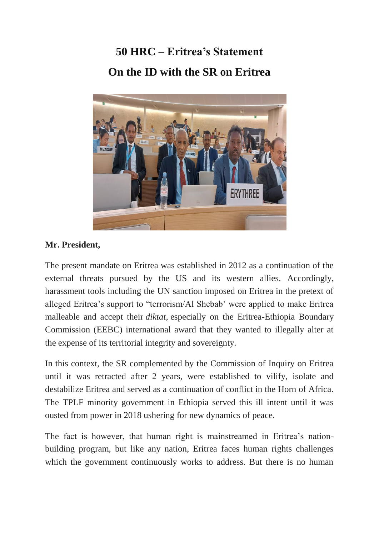## **50 HRC – Eritrea's Statement On the ID with the SR on Eritrea**



## **Mr. President,**

The present mandate on Eritrea was established in 2012 as a continuation of the external threats pursued by the US and its western allies. Accordingly, harassment tools including the UN sanction imposed on Eritrea in the pretext of alleged Eritrea's support to "terrorism/Al Shebab' were applied to make Eritrea malleable and accept their *diktat,* especially on the Eritrea-Ethiopia Boundary Commission (EEBC) international award that they wanted to illegally alter at the expense of its territorial integrity and sovereignty.

In this context, the SR complemented by the Commission of Inquiry on Eritrea until it was retracted after 2 years, were established to vilify, isolate and destabilize Eritrea and served as a continuation of conflict in the Horn of Africa. The TPLF minority government in Ethiopia served this ill intent until it was ousted from power in 2018 ushering for new dynamics of peace.

The fact is however, that human right is mainstreamed in Eritrea's nationbuilding program, but like any nation, Eritrea faces human rights challenges which the government continuously works to address. But there is no human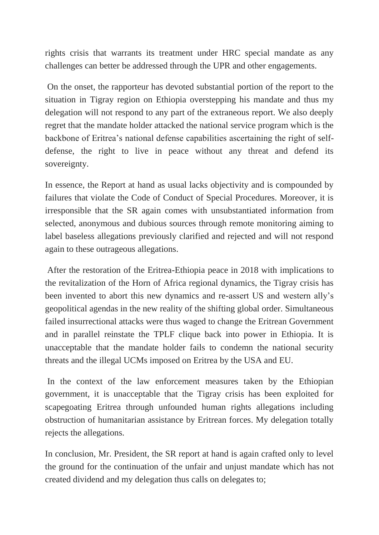rights crisis that warrants its treatment under HRC special mandate as any challenges can better be addressed through the UPR and other engagements.

On the onset, the rapporteur has devoted substantial portion of the report to the situation in Tigray region on Ethiopia overstepping his mandate and thus my delegation will not respond to any part of the extraneous report. We also deeply regret that the mandate holder attacked the national service program which is the backbone of Eritrea's national defense capabilities ascertaining the right of selfdefense, the right to live in peace without any threat and defend its sovereignty.

In essence, the Report at hand as usual lacks objectivity and is compounded by failures that violate the Code of Conduct of Special Procedures. Moreover, it is irresponsible that the SR again comes with unsubstantiated information from selected, anonymous and dubious sources through remote monitoring aiming to label baseless allegations previously clarified and rejected and will not respond again to these outrageous allegations.

After the restoration of the Eritrea-Ethiopia peace in 2018 with implications to the revitalization of the Horn of Africa regional dynamics, the Tigray crisis has been invented to abort this new dynamics and re-assert US and western ally's geopolitical agendas in the new reality of the shifting global order. Simultaneous failed insurrectional attacks were thus waged to change the Eritrean Government and in parallel reinstate the TPLF clique back into power in Ethiopia. It is unacceptable that the mandate holder fails to condemn the national security threats and the illegal UCMs imposed on Eritrea by the USA and EU.

In the context of the law enforcement measures taken by the Ethiopian government, it is unacceptable that the Tigray crisis has been exploited for scapegoating Eritrea through unfounded human rights allegations including obstruction of humanitarian assistance by Eritrean forces. My delegation totally rejects the allegations.

In conclusion, Mr. President, the SR report at hand is again crafted only to level the ground for the continuation of the unfair and unjust mandate which has not created dividend and my delegation thus calls on delegates to;